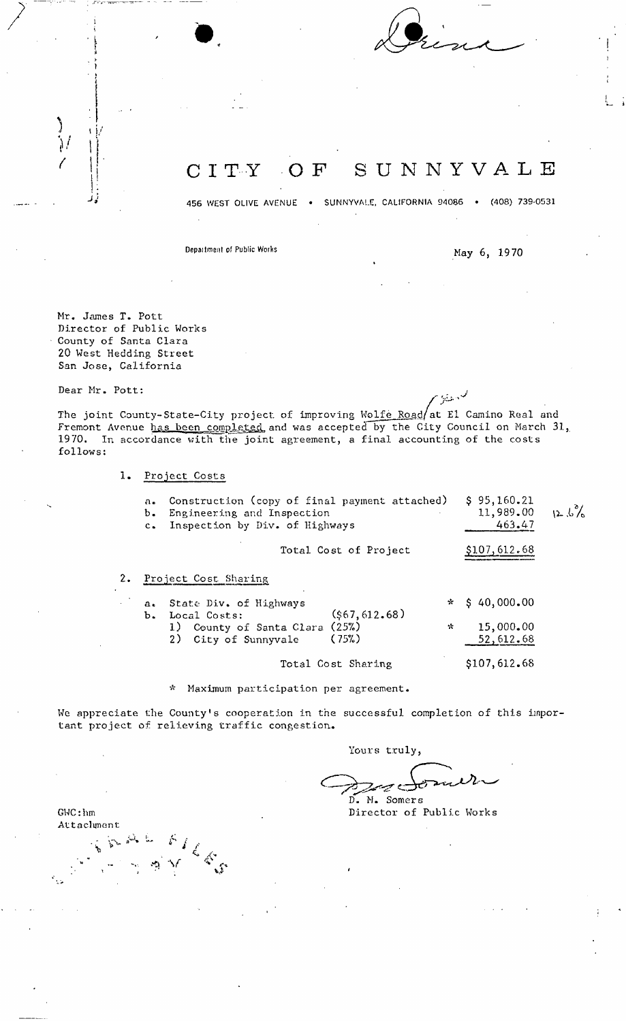# **C I T Y O F SUNNYVAL E**

456 WEST OLIVE AVENUE • SUNNYVALE, CALIFORNIA 94086 • (408) 739-0531

المحمقلإ

Department of Public Works May 6, 1970

Mr. James T. Pott Director of Public Works County of Santa Clara 20 West Hedding Street San Jose, California

Dear Mr. Pott:

 $\mathcal{U} =$ 

*V \ f* 

*Ji* 

The joint County-State-City project of improving Wolfe Road/at El Camino Real and Fremont Avenue has been completed and was accepted by the City Council on March 31, 1970. In accordance with the joint agreement, a final accounting of the costs follows:

1. Project Costs

| a. Construction (copy of final payment attached)<br>b. Engineering and Inspection<br>c. Inspection by Div. of Highways | \$95,160.21<br>11,989.00<br>463.47 | 12.5% |
|------------------------------------------------------------------------------------------------------------------------|------------------------------------|-------|
| Total Cost of Project                                                                                                  | \$1.07, 612.68                     |       |

2. Project Cost Sharing

 $\frac{1}{4}$ 

| ъ. | a. State Div. of Highways<br>(567, 612, 68)<br>Local Costs:     |   | * $$40,000.00$          |
|----|-----------------------------------------------------------------|---|-------------------------|
|    | 1) County of Santa Clara (25%)<br>2) City of Sunnyvale<br>(75%) | ☆ | 15,000.00<br>52, 612.68 |
|    | Total Cost Sharing                                              |   | \$107,612.68            |

\* Maximum participation per agreement.

We appreciate the County's cooperation in the successful completion of this important project of relieving traffic congestion.

Yours truly,

D. M. Somers

Director of Public Works

GWC:hm Attacliment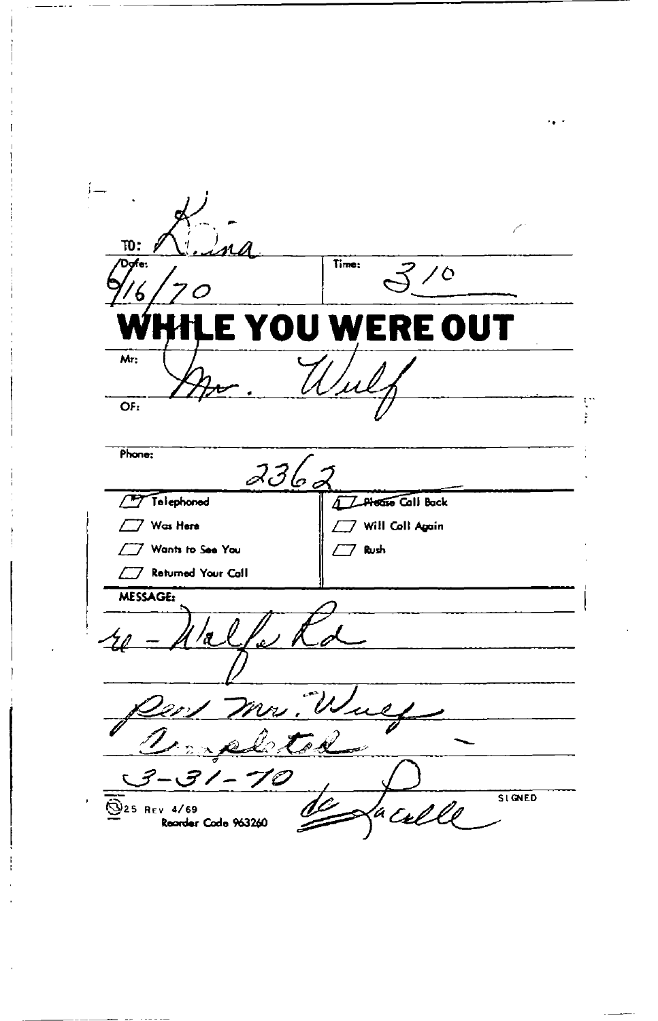TO:<br>Dyfe: Time:  $\sqrt{\circ}$ **EOUT** E YOI WI F  $Mr:$ t.,  $\overline{OF}:$ ŧ Phone:  $2362$ / Telephoned 17 Please Call Back 7 Was Here **27** Will Call Again /// Wants to See You 7 Rush 7 Returned Your Call **MESSAGE:** 'n Łδ, Ξ SI GNED 25 REV 4/69 Reorder Code 963260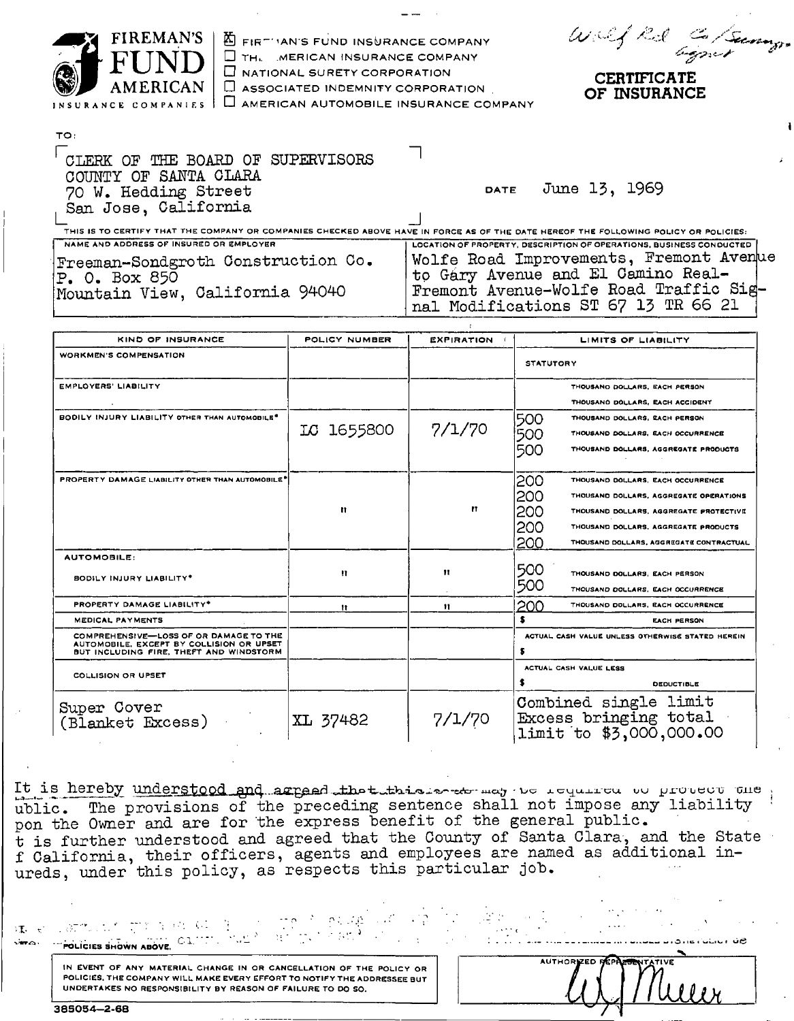

 $\mathbb{A}$  FIRT'IAN'S FUND INSURANCE COMPANY TH. MERICAN INSURANCE COMPANY **C** NATIONAL SURETY CORPORATION **C** ASSOCIATED INDEMNITY CORPORATION  $\Box$  AMERICAN AUTOMOBILE INSURANCE COMPANY

Welf Rol Co Seemon

**CERTIFICATE** OF INSURANCE

TO:

CLERK OF THE BOARD OF SUPERVISORS COUNTY OF SANTA CLARA 70 W. Hedding Street San Jose, California

June 13, 1969 DATE

THIS IS TO CERTIFY THAT THE COMPANY OR COMPANIES CHECKED ABOVE HA VE IN FORCE AS OF THE DATE HEREOF THE FOLLOWING POLICY OR POLICIES: NAME AND ADDRESS OF INSURED OR EMPLOYER LOCATION OF PROPERTY, DESCRIPTION OF OPERATIONS, BUSINESS CONDUCTED

Freeman-Sondgroth Construction Co. P. O. Box 850 Mountain View, California 94040

Wolfe Road Improvements, Fremont Avenue to Gáry Avenue and El Camino Real-Fremont Avenue-Wolfe Road Traffic Signal Modifications ST 67 13 TR 66 21

| KIND OF INSURANCE                                                                                                             | POLICY NUMBER | <b>EXPIRATION</b> | LIMITS OF LIABILITY                                                                                                                                                                                                                         |
|-------------------------------------------------------------------------------------------------------------------------------|---------------|-------------------|---------------------------------------------------------------------------------------------------------------------------------------------------------------------------------------------------------------------------------------------|
| <b>WORKMEN'S COMPENSATION</b>                                                                                                 |               |                   | <b>STATUTORY</b>                                                                                                                                                                                                                            |
| <b>EMPLOYERS' LIABILITY</b>                                                                                                   |               |                   | THOUSAND DOLLARS, EACH PERSON<br>THOUSAND DOLLARS, EACH ACCIDENT                                                                                                                                                                            |
| BODILY INJURY LIABILITY OTHER THAN AUTOMOBILE <sup>®</sup>                                                                    | LC 1655800    | 7/1/70            | 500<br>THOUSAND DOLLARS, EACH PERSON<br>500<br>THOUSAND DOLLARS, EACH OCCURRENCE<br>500<br>THOUSAND DOLLARS, AGGREGATE PRODUCTS                                                                                                             |
| PROPERTY DAMAGE LIABILITY OTHER THAN AUTOMOBILE®                                                                              | n             | п                 | 200<br>THOUSAND DOLLARS, EACH OCCURRENCE<br>200<br>THOUSAND DOLLARS, AGGREGATE OPERATIONS<br>200<br>THOUSAND DOLLARS, AGGREGATE PROTECTIVE<br>200<br>THOUSAND DOLLARS, AGGREGATE PRODUCTS<br>200<br>THOUSAND DOLLARS, AGGREGATE CONTRACTUAL |
| <b>AUTOMOBILE:</b><br><b>BODILY INJURY LIABILITY*</b>                                                                         | n             | Ħ                 | 500<br>THOUSAND DOLLARS, EACH PERSON<br>500<br>THOUSAND DOLLARS, EACH OCCURRENCE                                                                                                                                                            |
| PROPERTY DAMAGE LIABILITY*                                                                                                    | 11.           | 11                | 200<br>THOUSAND DOLLARS, EACH OCCURRENCE                                                                                                                                                                                                    |
| <b>MEDICAL PAYMENTS</b>                                                                                                       |               |                   | s<br><b>EACH PERSON</b>                                                                                                                                                                                                                     |
| COMPREHENSIVE-LOSS OF OR DAMAGE TO THE<br>AUTOMOBILE, EXCEPT BY COLLISION OR UPSET<br>BUT INCLUDING FIRE. THEFT AND WINDSTORM |               |                   | ACTUAL CASH VALUE UNLESS OTHERWISE STATED HEREIN<br>s                                                                                                                                                                                       |
| <b>COLLISION OR UPSET</b>                                                                                                     |               |                   | ACTUAL CASH VALUE LESS<br>\$<br><b>DEDUCTIBLE</b>                                                                                                                                                                                           |
| Super Cover<br>(Blanket Excess)                                                                                               | XL 37482      | 7/1/70            | Combined single limit<br>Excess bringing total<br>limit to \$3,000,000.00                                                                                                                                                                   |

It is hereby understood and agreed the tathing the new tear equation of provect the ublic. The provisions of the preceding sentence shall not impose any liability pon the Owner and are for the express benefit of the general public. t is further understood and agreed that the County of Santa Clara, and the State f California, their officers, agents and employees are named as additional inureds, under this policy, as respects this particular job.

 $C.1$ POLICIES SHOWN ABOVE.

> IN EVENT OF ANY MATERIAL CHANGE IN OR CANCELLATION OF THE POLICY OR POLICIES, THE COMPANY WILL, MAKE EVERY EFFORT TO NOTIFY THE ADDRESSEE BUT UNDERTAKES NO RESPONSIBILITY BY REASON OF FAILURE TO DO SO.

| <b>AUTHORIZED REPARTENTATIVE</b> |  |
|----------------------------------|--|
|                                  |  |
|                                  |  |
|                                  |  |
|                                  |  |
|                                  |  |
|                                  |  |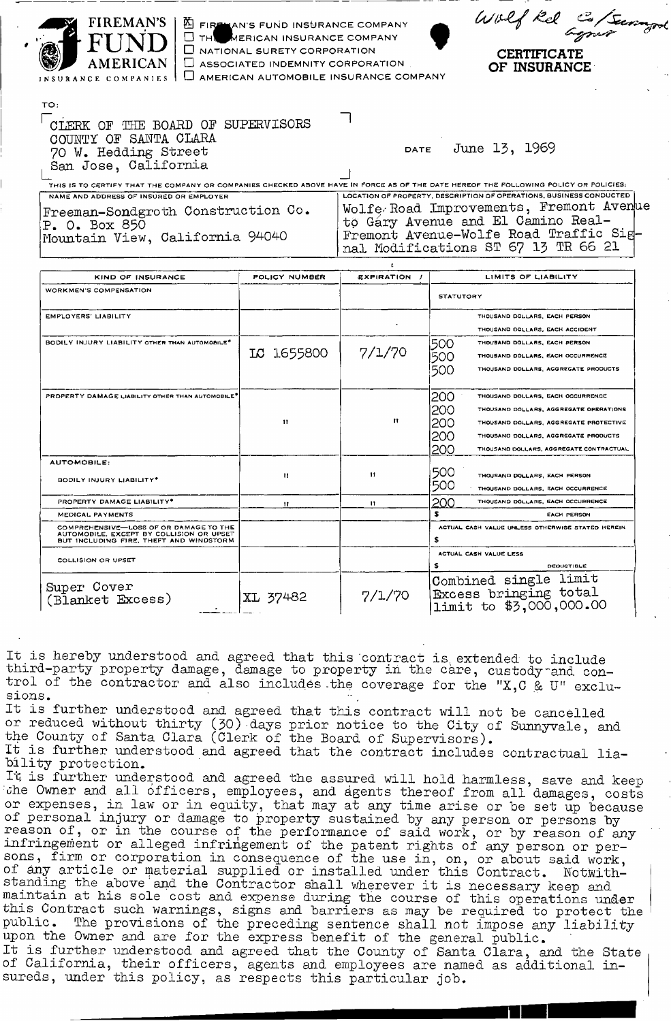| <b>FIREMAN'S</b><br>AMERICAN<br>INSURANCE COMPANIES                                                                               | <b>E FIREMAN'S FUND INSURANCE COMPANY</b><br>THE MERICAN INSURANCE COMPANY<br>$\Box$ national surety corporation<br>L ASSOCIATED INDEMNITY CORPORATION<br>LI AMERICAN AUTOMOBILE INSURANCE COMPANY |                     | Wolf Rel Co/Summon<br><b>CERTIFICATE</b><br>OF INSURANCE                                                                                                                                                                              |
|-----------------------------------------------------------------------------------------------------------------------------------|----------------------------------------------------------------------------------------------------------------------------------------------------------------------------------------------------|---------------------|---------------------------------------------------------------------------------------------------------------------------------------------------------------------------------------------------------------------------------------|
| TO:<br>CLERK OF THE BOARD OF SUPERVISORS<br>COUNTY OF SANTA CLARA<br>70 W. Hedding Street<br>San Jose, California                 |                                                                                                                                                                                                    | DATE                | June 13, 1969                                                                                                                                                                                                                         |
|                                                                                                                                   |                                                                                                                                                                                                    |                     | THIS IS TO CERTIFY THAT THE COMPANY OR COMPANIES CHECKED ABOVE HAVE IN FORCE AS OF THE DATE HEREOF THE FOLLOWING POLICY OR POLICIES:                                                                                                  |
| NAME AND ADDRESS OF INSURED OR EMPLOYER<br>Freeman-Sondgroth Construction Co.<br>P. O. Box 850<br>Mountain View, California 94040 |                                                                                                                                                                                                    |                     | LOCATION OF PROPERTY, DESCRIPTION OF OPERATIONS, BUSINESS CONDUCTED<br>Wolfe Road Improvements, Fremont Avenue<br>to Gáry Avenue and El Camino Real-<br>Fremont Avenue-Wolfe Road Traffic Sig-<br>nal Modifications ST 67 13 TR 66 21 |
|                                                                                                                                   |                                                                                                                                                                                                    | <b>EXPIRATION</b> / | LIMITS OF LIABILITY                                                                                                                                                                                                                   |
| <b>KIND OF INSURANCE</b><br><b>WORKMEN'S COMPENSATION</b>                                                                         | POLICY NUMBER                                                                                                                                                                                      |                     | <b>STATUTORY</b>                                                                                                                                                                                                                      |
| EMPLOYERS' LIABILITY                                                                                                              |                                                                                                                                                                                                    |                     | THOUSAND DOLLARS, EACH PERSON<br>THOUSAND DOLLARS, EACH ACCIDENT                                                                                                                                                                      |
| BODILY INJURY LIABILITY OTHER THAN AUTOMOBILE*                                                                                    | LC 1655800                                                                                                                                                                                         |                     | 500<br>THOUSAND DOLLARS, EACH PERSON<br>500<br>THOUSAND DOLLARS, EACH OCCURRENCE                                                                                                                                                      |

| <b>KIND OF INSURANCE</b>                                                                                                      | POLICY NUMBER | <b>EXPIRATION</b> / | LIMITS OF LIABILITY                                    |
|-------------------------------------------------------------------------------------------------------------------------------|---------------|---------------------|--------------------------------------------------------|
| WORKMEN'S COMPENSATION                                                                                                        |               |                     | <b>STATUTORY</b>                                       |
| EMPLOYERS' LIABILITY                                                                                                          |               |                     | THOUSAND DOLLARS, EACH PERSON                          |
|                                                                                                                               |               |                     | THOUSAND DOLLARS, EACH ACCIDENT                        |
| BODILY INJURY LIABILITY OTHER THAN AUTOMOBILE*                                                                                |               |                     | 500<br>THOUSAND DOLLARS, EACH PERSON                   |
|                                                                                                                               | LC 1655800    | 7/1/70              | 500<br>THOUSAND DOLLARS, EACH OCCURRENCE               |
|                                                                                                                               |               |                     | 500<br>THOUSAND DOLLARS, AGGREGATE PRODUCTS            |
| PROPERTY DAMAGE LIABILITY OTHER THAN AUTOMOBILE"                                                                              |               |                     | 200<br>THOUSAND DOLLARS, EACH OCCURRENCE               |
|                                                                                                                               |               |                     | 200<br>THOUSAND DOLLARS, AGGREGATE OPERATIONS          |
|                                                                                                                               | Ħ             | 11                  | 200<br>THOUSAND DOLLARS, AGGREGATE PROTECTIVE          |
|                                                                                                                               |               |                     | 200<br>THOUSAND DOLLARS, AGGREGATE PRODUCTS            |
|                                                                                                                               |               |                     | 200<br>THOUSAND DOLLARS, AGGREGATE CONTRACTUAL         |
| AUTOMOBILE:                                                                                                                   |               |                     |                                                        |
| <b>BODILY INJURY LIABILITY*</b>                                                                                               | $\mathbf{H}$  | Ħ                   | 500<br>THOUSAND DOLLARS, EACH PERSON                   |
|                                                                                                                               |               |                     | 500<br>THOUSAND DOLLARS, EACH OCCURRENCE               |
| PROPERTY DAMAGE LIABILITY*                                                                                                    | Ħ             | Ħ                   | 200<br>THOUSAND DOLLARS, EACH OCCURRENCE               |
| <b>MEDICAL PAYMENTS</b>                                                                                                       |               |                     | s<br><b>EACH PERSON</b>                                |
| COMPREHENSIVE-LOSS OF OR DAMAGE TO THE<br>AUTOMOBILE, EXCEPT BY COLLISION OR UPSET<br>BUT INCLUDING FIRE, THEFT AND WINDSTORM |               |                     | ACTUAL CASH VALUE UNLESS OTHERWISE STATED HEREIN<br>\$ |
|                                                                                                                               |               |                     | ACTUAL CASH VALUE LESS                                 |
| COLLISION OR UPSET                                                                                                            |               |                     | s<br><b>DEDUCTIBLE</b>                                 |
|                                                                                                                               |               |                     | Combined single limit                                  |
| Super Cover<br>(Blanket Excess)                                                                                               | XL 37482      | 7/1/70              | Excess bringing total                                  |
|                                                                                                                               |               |                     | 1imit to \$3,000,000.00                                |

It is hereby understood and agreed that this contract is. extended to include third-party property damage, damage to property in the care, custody and control of the contractor and also includes the coverage for the "X,C & U" exclusions.

It is further understood and agreed that this contract will not be cancelled or reduced without thirty (30) days prior notice to the City of Sunnyvale, and the County of Santa Clara (Clerk of the Board of Supervisors). It is further understood and agreed that the contract includes contractual liability protection.

*Tq* is further understood and agreed the assured will hold harmless, save and keep the Owner and all officers, employees, and agents thereof from all damages, costs or expenses, in law or in equity, that may at any time arise or be set up because of personal injury or damage to property sustained by any person or persons by reason of, or in the course of the performance of said work, or by reason of any infringement or alleged infringement of the patent rights of any person or persons, firm or corporation in consequence of the use in, on, or about said work, of any article or material supplied or installed under this Contract. Notwithstanding the above'and the Contractor shall wherever it is necessary keep and maintain at his sole cost and expense during the course of this operations under this Contract such warnings, signs and barriers as may be required to protect the public. The provisions of the preceding sentence shall not impose any liability upon the Owner and are for the express benefit of the general public. It is further understood and agreed that the County of Santa Clara, and the State, of California, their officers, agents and employees are named as additional insureds, under this policy, as respects this particular job.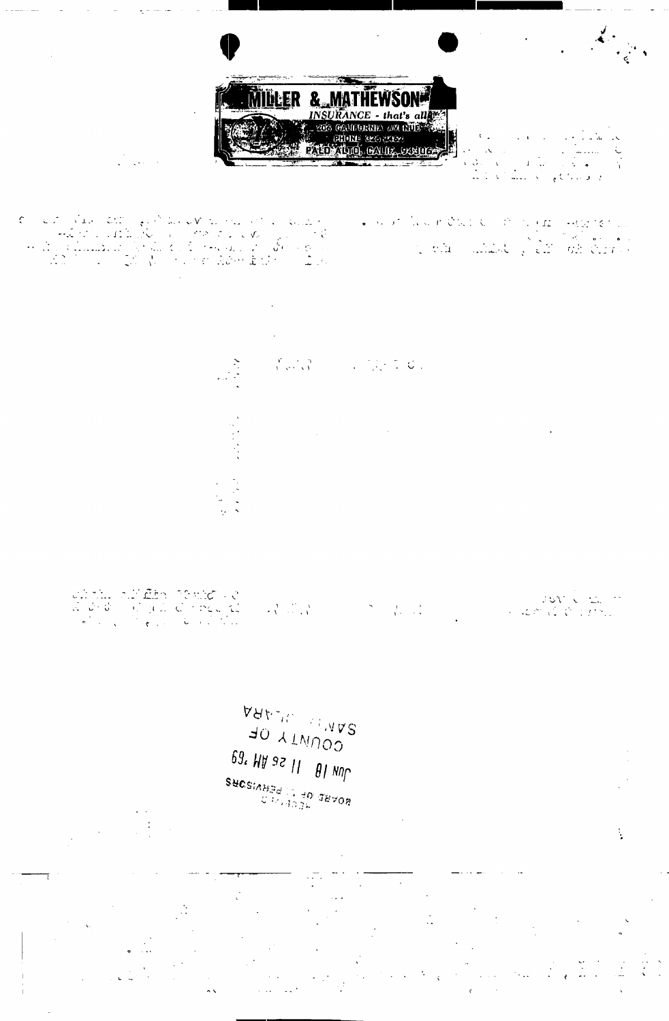

ملأ ساري المستقل المراكز المراكز المراكز المراكز<br>المراكز المراكز المراكز المراكز المراكز المراكز المراكز المراكز المراكز المراكز المراكز المراكز المراكز المراك<br>المراكز المراكز المراكز المراكز المراكز المراكز المراكز المراكز المراك Ñ

 $\label{eq:2} \frac{1}{\sqrt{2}}\int_{-\infty}^{\infty}\frac{dx}{\sqrt{2\pi}}\,dx$ 

 $\bullet \quad \forall i \in \mathbb{Z}^n \ \forall i \in \mathbb{Z}^n \ \forall i \in \mathbb{C}^n \ \forall i \in \mathbb{Z}^n \ \forall i \in \mathbb{Z}^n \ \forall i \in \mathbb{Z}^n \ \forall i \in \mathbb{Z}^n \ \forall i \in \mathbb{Z}^n \ \forall i \in \mathbb{Z}^n \ \forall i \in \mathbb{Z}^n \ \forall i \in \mathbb{Z}^n \ \forall i \in \mathbb{Z}^n \ \forall i \in \mathbb{Z}^n \ \forall i \in \mathbb{Z}^n \ \forall i \in \mathbb{Z}^n \ \forall i \in \$  $\sim \omega_c$ 



 $\ddot{\phantom{0}}$ 

 $\label{eq:2} \mathcal{L} = \frac{1}{2} \sum_{i=1}^n \frac{1}{2} \sum_{j=1}^n \frac{1}{2} \sum_{j=1}^n \frac{1}{2} \sum_{j=1}^n \frac{1}{2} \sum_{j=1}^n \frac{1}{2} \sum_{j=1}^n \frac{1}{2} \sum_{j=1}^n \frac{1}{2} \sum_{j=1}^n \frac{1}{2} \sum_{j=1}^n \frac{1}{2} \sum_{j=1}^n \frac{1}{2} \sum_{j=1}^n \frac{1}{2} \sum_{j=1}^n \frac{1}{2} \sum_{j=1}$  $5 - \frac{1}{10} + \frac{1}{10}$  in de partie de la provincia de la provincia de la provincia de la provincia de la provincia de la provincia d<br>La provincia de la provincia de la provincia de la provincia de la provincia de la provincia de la provincia d

f.

**AALLE STAAR** JO ALMNOO  $69.$  HH 92 11 B1 NOP **SHOSIAH** 24 11 40 38208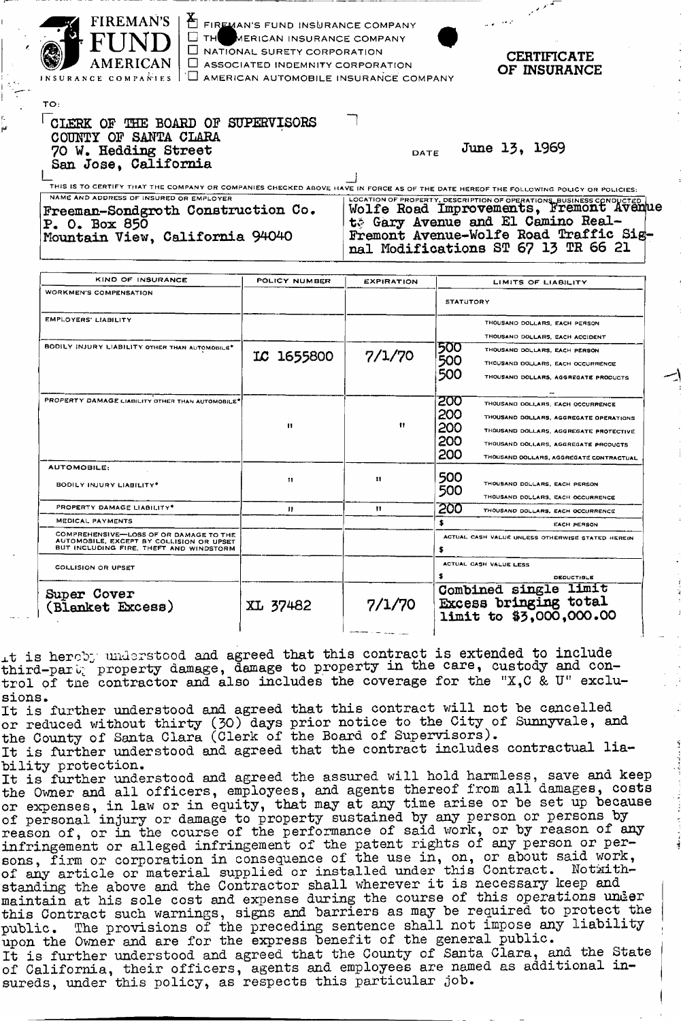| <b>FIREMAN'S</b><br><b>THU</b><br><b>AMERICAN</b><br>INSURANCE COMPANIES                                                                                                                                                                               | FIREMAN'S FUND INSURANCE COMPANY<br>MERICAN INSURANCE COMPANY<br>NATIONAL SURETY CORPORATION<br>ASSOCIATED INDEMNITY CORPORATION<br>AMERICAN AUTOMOBILE INSURANCE COMPANY |                   | <b>CERTIFICATE</b><br>OF INSURANCE                                                                                                                                                                                                                                                                                                                                                             |
|--------------------------------------------------------------------------------------------------------------------------------------------------------------------------------------------------------------------------------------------------------|---------------------------------------------------------------------------------------------------------------------------------------------------------------------------|-------------------|------------------------------------------------------------------------------------------------------------------------------------------------------------------------------------------------------------------------------------------------------------------------------------------------------------------------------------------------------------------------------------------------|
| TO:<br>CLERK OF THE BOARD OF SUPERVISORS<br>COUNTY OF SANTA CLARA<br>70 W. Hedding Street<br>San Jose, California<br>NAME AND ADDRESS OF INSURED OR EMPLOYER<br>Freeman-Sondgroth Construction Co.<br>P. O. Box 850<br>Mountain View, California 94040 |                                                                                                                                                                           | DATE              | June 13, 1969<br>THIS IS TO CERTIFY THAT THE COMPANY OR COMPANIES CHECKED ABOVE HAVE IN FORCE AS OF THE DATE HEREOF THE FOLLOWING POLICY OR POLICIES:<br>LOCATION OF PROPERTY, DESCRIPTION OF OPERATIONS, BUSINESS CONDUCTED<br>Wolfe Road Improvements, Fremont Avenue<br>te Gary Avenue and El Camino Real-<br>Fremont Avenue-Wolfe Road Traffic Sig-<br>nal Modifications ST 67 13 TR 66 21 |
|                                                                                                                                                                                                                                                        |                                                                                                                                                                           |                   |                                                                                                                                                                                                                                                                                                                                                                                                |
| KIND OF INSURANCE                                                                                                                                                                                                                                      | <b>POLICY NUMBER</b>                                                                                                                                                      | <b>EXPIRATION</b> | LIMITS OF LIABILITY                                                                                                                                                                                                                                                                                                                                                                            |
| WORKMEN'S COMPENSATION                                                                                                                                                                                                                                 |                                                                                                                                                                           |                   | <b>STATUTORY</b>                                                                                                                                                                                                                                                                                                                                                                               |
| EMPLOYERS' LIABILITY                                                                                                                                                                                                                                   |                                                                                                                                                                           |                   | THOUSAND DOLLARS, EACH PERSON<br>THOUSAND DOLLARS, EACH ACCIDENT                                                                                                                                                                                                                                                                                                                               |
| BODILY INJURY LIABILITY OTHER THAN AUTOMOBILE*                                                                                                                                                                                                         | IC 1655800                                                                                                                                                                | 7/1/70            | 500<br>THOUSAND DOLLARS, EACH PERSON<br>500<br>THOUSAND DOLLARS, EACH OCCURRENCE<br>500<br>THOUSAND DOLLARS, AGGREGATE PRODUCTS                                                                                                                                                                                                                                                                |
| PROPERTY DAMAGE LIABILITY OTHER THAN AUTOMOBILE*                                                                                                                                                                                                       | 88                                                                                                                                                                        | Ħ                 | 200<br>THOUSAND DOLLARS, EACH OCCURRENCE<br>200<br>THOUSAND DOLLARS, AGGREGATE OPERATIONS<br>200<br>THOUSAND DOLLARS, AGGREGATE PROTECTIVE<br>200<br>THOUSAND DOLLARS, AGGREGATE PRODUCTS<br>200                                                                                                                                                                                               |
| AUTOMOBILE:                                                                                                                                                                                                                                            |                                                                                                                                                                           |                   | THOUSAND DOLLARS, AGGREGATE CONTRACTUAL                                                                                                                                                                                                                                                                                                                                                        |
| BODILY INJURY LIABILITY*                                                                                                                                                                                                                               | 11                                                                                                                                                                        | 11                | 500<br>THOUSAND DOLLARS, EACH PERSON<br>500<br>THOUSAND DOLLARS, EACH OCCURRENCE                                                                                                                                                                                                                                                                                                               |
| PROPERTY DAMAGE LIABILITY*                                                                                                                                                                                                                             | n                                                                                                                                                                         | Ħ                 | 200                                                                                                                                                                                                                                                                                                                                                                                            |
| MEDICAL PAYMENTS                                                                                                                                                                                                                                       |                                                                                                                                                                           |                   | THOUSAND DOLLARS, EACH OCCURRENCE<br>\$<br><b>EACH PERSON</b>                                                                                                                                                                                                                                                                                                                                  |
| COMPREHENSIVE-LOSS OF OR DAMAGE TO THE<br>AUTOMOBILE, EXCEPT BY COLLISION OR UPSET<br>BUT INCLUDING FIRE, THEFT AND WINDSTORM                                                                                                                          |                                                                                                                                                                           |                   | ACTUAL CASH VALUE UNLESS OTHERWISE STATED HEREIN<br>s                                                                                                                                                                                                                                                                                                                                          |
| COLLISION OR UPSET                                                                                                                                                                                                                                     |                                                                                                                                                                           |                   | ACTUAL CASH VALUE LESS<br><b>DEOUCTIBLE</b>                                                                                                                                                                                                                                                                                                                                                    |
| Super Cover<br>(Blanket Excess)                                                                                                                                                                                                                        | XL 37482                                                                                                                                                                  | 7/1/70            | Combined single limit<br>Excess bringing total<br>limit to $$3,000,000.00$                                                                                                                                                                                                                                                                                                                     |
|                                                                                                                                                                                                                                                        |                                                                                                                                                                           |                   |                                                                                                                                                                                                                                                                                                                                                                                                |

 $_+$ t is hercb; understood and agreed that this contract is extended to include third-part property damage, damage to property in the care, custody and control of the contractor and also includes the coverage for the "X,C & U" exclu-<br>sions.

It is further understood and agreed that this contract will not be cancelled It is further understood and agreed that this contract will not be cancelled<br>It is further understood and agreed that this contract will not be cancelled or reduced without thirty (30) days prior notice to the Crew, or Sunnyvale, and

the County of Santa Clara (Clerk of the Board of Supervisors). Pilitik understood and agreed once contract the contractual lines.

bility protection.<br>Dility protection. It is further understood and agreed the assured will held herming the and damages, costs or expenses, in law or in equity, that may at any time arise or be set up because of personal injury or damage to property sustained by any person or persons by of personal injury of damage to property sustance by the second property reason of an reason of, of in the course of the performance of the work, of any person or perinfringement of arreged infringement or the patternal region, or about said work, sons, firm or corporation in consequence of the mover, the Contract. Notwithstanding the above and the Contractor shall wherever it is necessary keep and maintain at his sole cost and expense during the course of this operations under this Contract such warnings, signs and barriers as may be required to protect the public. The provisions of the preceding sentence shall not impose any liability upon the Owner and are for the express benefit of the general public. It is further understood and agreed that the County of Santa Clara, and the State of California, their officers, agents and employees are named as additional inof California, their officers, agents and employees are not all the second as a control of the name of the name of the name of the name of the name of the name of the name of the name of the name of the name of the name of

sureds, under this policy, as respects this particular Job.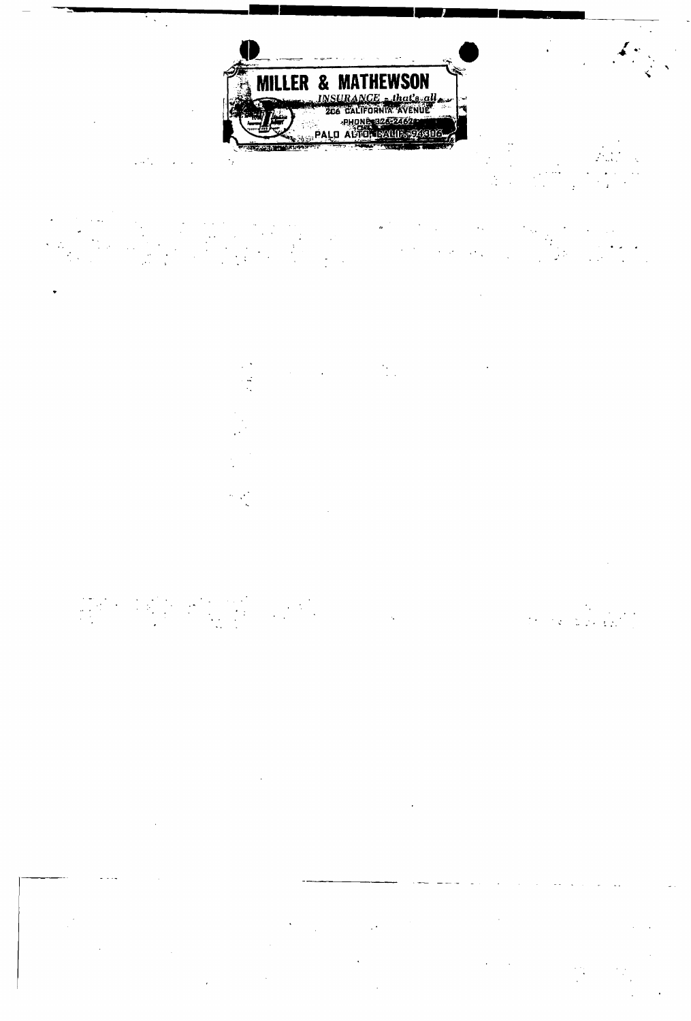

 $\frac{1}{2}$  .

 $\mathcal{L}_{\text{max}} = \frac{1}{2} \sum_{i=1}^{2} \frac{1}{i} \sum_{j=1}^{2} \frac{1}{j} \sum_{j=1}^{2} \frac{1}{j} \sum_{j=1}^{2} \frac{1}{j} \sum_{j=1}^{2} \frac{1}{j} \sum_{j=1}^{2} \frac{1}{j} \sum_{j=1}^{2} \frac{1}{j} \sum_{j=1}^{2} \frac{1}{j} \sum_{j=1}^{2} \frac{1}{j} \sum_{j=1}^{2} \frac{1}{j} \sum_{j=1}^{2} \frac{1}{j} \sum_{j=1}^{2} \frac{1$ 

 $\mathcal{L}^{\mathcal{L}}$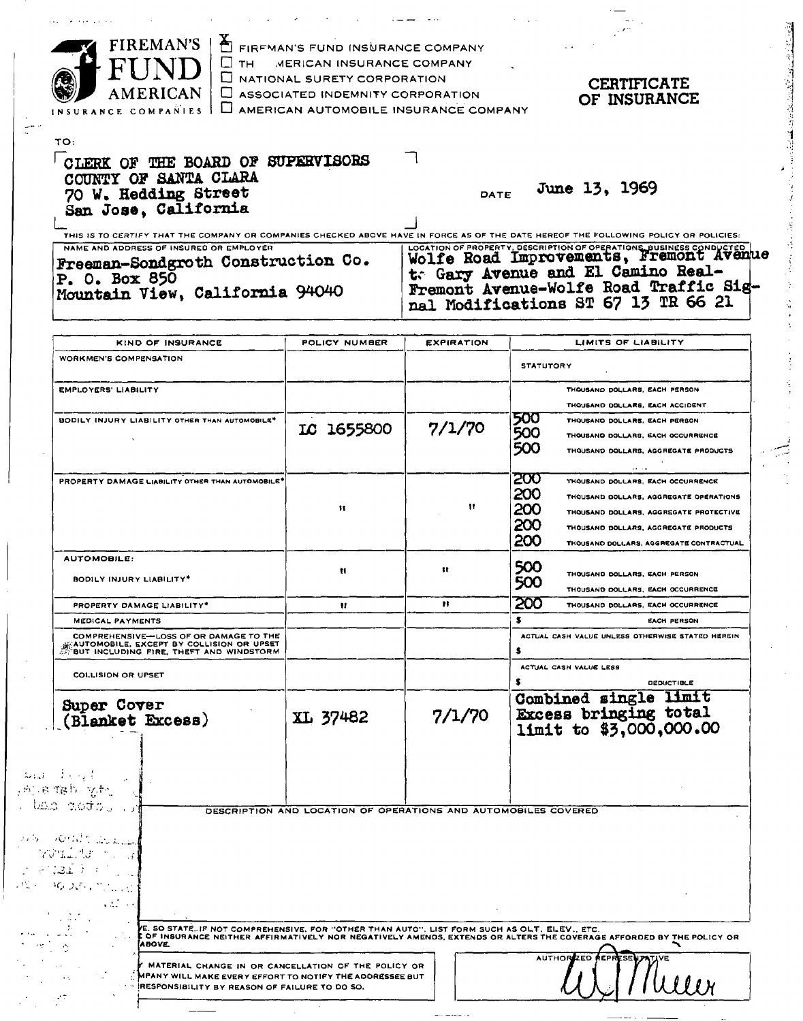| TO:<br>CLERK OF THE BOARD OF SUPERVISORS<br>COUNTY OF SANTA CLARA<br>70 W. Hedding Street<br>San Jose, California<br>THIS IS TO CERTIFY THAT THE COMPANY OR COMPANIES CHECKED ABOVE HI |                                                                | DATE              | June 13, 1969<br>VE IN FORCE AS OF THE DATE HEREOF THE FOLLOWING POLICY OR POLICIES:                                                                                                                                                        |
|----------------------------------------------------------------------------------------------------------------------------------------------------------------------------------------|----------------------------------------------------------------|-------------------|---------------------------------------------------------------------------------------------------------------------------------------------------------------------------------------------------------------------------------------------|
| NAME AND ADDRESS OF INSURED OR EMPLOYER<br>Freeman-Sondgroth Construction Co.<br>P. O. Box 850<br>Mountain View, California 94040                                                      |                                                                |                   | LOCATION OF PROPERTY, DESCRIPTION OF OPERATIONS, BUSINESS CONDUCTED   U O LOCATION OF OPERATIONS, FLORIDAL AVERIQUE<br>to Gary Avenue and El Camino Real-<br>Fremont Avenue-Wolfe Road Traffic Sig-<br>nal Modifications ST 67 13 TR 66 21  |
| KIND OF INSURANCE                                                                                                                                                                      | POLICY NUMBER                                                  | <b>EXPIRATION</b> | LIMITS OF LIABILITY                                                                                                                                                                                                                         |
| WORKMEN'S COMPENSATION                                                                                                                                                                 |                                                                |                   | <b>STATUTORY</b>                                                                                                                                                                                                                            |
| <b>EMPLOYERS' LIABILITY</b>                                                                                                                                                            |                                                                |                   | THOUSAND DOLLARS, EACH PERSON                                                                                                                                                                                                               |
| BODILY INJURY LIABILITY OTHER THAN AUTOMOBILE*                                                                                                                                         | LC 1655800                                                     | 7/1/70            | THOUSAND DOLLARS, EACH ACCIDENT<br>500<br>THOUSAND DOLLARS, EACH PERSON<br>500<br>THOUSAND DOLLARS, EACH OCCURRENCE<br>500<br>THOUSAND DOLLARS, AGGREGATE PRODUCTS                                                                          |
| PROPERTY DAMAGE LIABILITY OTHER THAN AUTOMOBILE'                                                                                                                                       | 11                                                             | 11                | 200<br>THOUSAND DOLLARS, EACH OCCURRENCE<br>200<br>THOUSAND DOLLARS, AGGREGATE OPERATIONS<br>200<br>THOUSAND DOLLARS, AGGREGATE PROTECTIVE<br>200<br>THOUSAND DOLLARS, AGGREGATE PRODUCTS<br>200<br>THOUSAND DOLLARS, AGGREGATE CONTRACTUAL |
| AUTOMOBILE:<br>BODILY INJURY LIABILITY*                                                                                                                                                | Ħ                                                              | Ħ                 | 500<br>THOUSAND DOLLARS, EACH PERSON<br>500                                                                                                                                                                                                 |
| PROPERTY DAMAGE LIABILITY*                                                                                                                                                             | Ħ                                                              | 11                | THOUSAND DOLLARS, EACH OCCURRENCE<br>200<br>THOUSAND DOLLARS, EACH OCCURRENCE                                                                                                                                                               |
| <b>MEDICAL PAYMENTS</b>                                                                                                                                                                |                                                                |                   | \$<br><b>EACH PERSON</b>                                                                                                                                                                                                                    |
| COMPREHENSIVE-LOSS OF OR DAMAGE TO THE<br>AUTOMOBILE, EXCEPT BY COLLISION OR UPSET<br>BUT INCLUDING FIRE, THEFT AND WINDSTORM                                                          |                                                                |                   | ACTUAL CASH VALUE UNLESS OTHERWISE STATED HEREIN<br>\$                                                                                                                                                                                      |
| <b>COLLISION OR UPSET</b>                                                                                                                                                              |                                                                |                   | ACTUAL CASH VALUE LESS<br>5<br><b>DEDUCTIBLE</b>                                                                                                                                                                                            |
| Super Cover<br>(Blanket Excess)<br>ال برند∤ (منطقة)                                                                                                                                    | XL 37482                                                       | 7/1/70            | Combined single limit<br>Excess bringing total<br>limit to $$3,000,000.00$                                                                                                                                                                  |
| je stab vir<br>- tww. aotourn<br>ma overly in all<br>what he was a<br>in angali kan<br>PER OG Jøs mille<br>$\mathcal{L}(\mathcal{L})$ and                                              | DESCRIPTION AND LOCATION OF OPERATIONS AND AUTOMOBILES COVERED |                   |                                                                                                                                                                                                                                             |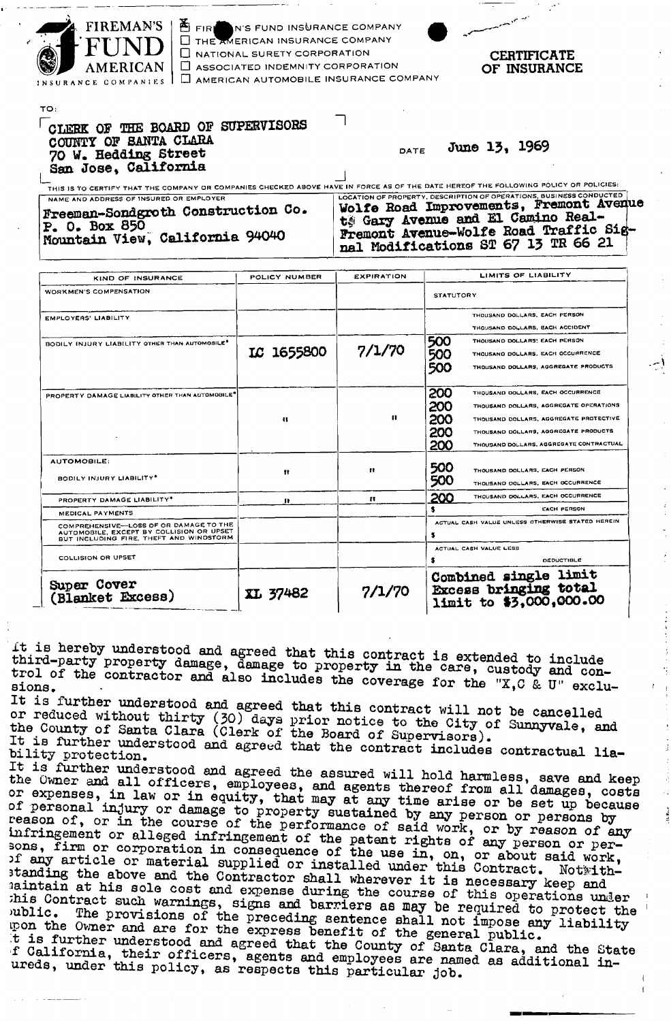| Super Cover<br>(Blanket Excess)                                                                                   | XL 37482                                                                                                                                                 | 7/1/70            | Combined single limit<br><b>Excess bringing total</b><br>limit to \$3,000,000.00                                                                                                                                                            |
|-------------------------------------------------------------------------------------------------------------------|----------------------------------------------------------------------------------------------------------------------------------------------------------|-------------------|---------------------------------------------------------------------------------------------------------------------------------------------------------------------------------------------------------------------------------------------|
| BUT INCLUDING FIRE, THEFT AND WINDSTORM<br>COLLISION OR UPSET                                                     |                                                                                                                                                          |                   | ACTUAL CASH VALUE LESS<br><b>DEDUCTIBLE</b><br>5                                                                                                                                                                                            |
| COMPREHENSIVE-LOSS OF OR DAMAGE TO THE<br>AUTOMOBILE, EXCEPT BY COLLISION OR UPSET                                |                                                                                                                                                          |                   | 5                                                                                                                                                                                                                                           |
| MEDICAL PAYMENTS                                                                                                  |                                                                                                                                                          |                   | <b>EACH PERSON</b><br>÷<br>ACTUAL CASH VALUE UNLESS OTHERWISE STATED HEREIN                                                                                                                                                                 |
| PROPERTY DAMAGE LIABILITY*                                                                                        | n                                                                                                                                                        | п                 | 200<br>THOUSAND DOLLARS, EACH OCCURRENCE                                                                                                                                                                                                    |
| AUTOMOBILE:<br>BODILY INJURY LIABILITY*                                                                           | Ħ                                                                                                                                                        | n                 | 500<br>THOUSAND DOLLARS, EACH PERSON<br>500<br>THOUSAND OOLLARS, EACH OCCURRENCE                                                                                                                                                            |
| PROPERTY DAMAGE LIABILITY OTHER THAN AUTOMOBILE*                                                                  | $\mathbf{u}$                                                                                                                                             | 8                 | 200<br>THOUSAND DOLLARS, EACH OCCURRENCE<br>200<br>THOUSAND DOLLARS, AGGREGATE OPERATIONS<br>200<br>THOUSAND DOLLARS, AGGREGATE PROTECTIVE<br>200<br>THOUSAND DOLLARS, AGGREGATE PRODUCTS<br>200<br>THOUSAND DOLLARS, AGGREGATE CONTRACTUAL |
| BODILY INJURY LIABILITY OTHER THAN AUTOMOBILE*                                                                    | IC 1655800                                                                                                                                               | 7/1/70            | THOUSAND DOLLARS, EACH ACCIDENT<br>500<br>THOUSAND DOLLARS! EACH PERSON<br>500<br>THOUSAND DOLLARS, EACH OCCURRENCE<br>500<br>THOUSAND DOLLARS, AGGREGATE PRODUCTS                                                                          |
| <b>EMPLOYERS' LIABILITY</b>                                                                                       |                                                                                                                                                          |                   | THOUSAND DOLLARS, EACH PERSON                                                                                                                                                                                                               |
| <b>WORKMEN'S COMPENSATION</b>                                                                                     |                                                                                                                                                          |                   | <b>STATUTORY</b>                                                                                                                                                                                                                            |
| P. O. Box 850<br>Mountain View, California 94040<br>KIND OF INSURANCE                                             | POLICY NUMBER                                                                                                                                            | <b>EXPIRATION</b> | t# Gary Avenue and El Camino Real-<br>Fremont Avenue-Wolfe Road Traffic Sig-<br>nal Modifications ST 67 13 TR 66 21<br>LIMITS OF LIABILITY                                                                                                  |
| NAME AND ADDRESS OF INSURED OR EMPLOYER<br>Freeman-Sondgroth Construction Co.                                     |                                                                                                                                                          |                   | LOCATION OF PROPERTY, DESCRIPTION OF OPERATIONS, BUSINESS CONDUCTED<br>Wolfe Road Improvements, Fremont Avenue                                                                                                                              |
| TO:<br>CLERK OF THE BOARD OF SUPERVISORS<br>COUNTY OF SANTA CLARA<br>70 W. Hedding Street<br>San Jose, California |                                                                                                                                                          | DATE              | June 13, 1969<br>THIS IS TO CERTIFY THAT THE COMPANY OR COMPANIES CHECKED ABOVE HAVE IN FORCE AS OF THE DATE HEREOF THE FOLLOWING POLICY OR POLICIES:                                                                                       |
| <b>AMERICAN</b><br>INSURANCE COMPANIES                                                                            | THE AMERICAN INSURANCE COMPANY<br><b>NATIONAL SURETY CORPORATION</b><br>$\Box$ ASSOCIATED INDEMNITY CORPORATION<br>AMERICAN AUTOMOBILE INSURANCE COMPANY |                   | <b>CERTIFICATE</b><br>OF INSURANCE                                                                                                                                                                                                          |
| E FIRE<br><b>FIREMAN'S</b>                                                                                        | N'S FUND INSURANCE COMPANY                                                                                                                               |                   | سمهمد                                                                                                                                                                                                                                       |

It is hereby understood and agreed that this contract is extended to include third-party property damage, damage to property in the care custody include third-party property damage, damage to property in the care, custody and con-<br>trol of the contractor and also includes the coverage for the "X,C & U" exclu-

It is further understood and agreed that this contract will not be cancelled<br>or reduced without thirty (30) days union poties to the Gil not be cancelled or reduced without thirty (30) days prior notice to the City of Sunnyvale, and<br>the County of Santa Clara (Clerk of the Board of Supervisors).<br>It is further understood and agreed that the contract includes contracted 1.1. It is further understood and agreed that the contract includes contractual lia-<br>bility protection.

bility protection.

It is further understood and agreed the assured will hold harmless, save and keep<br>the Owner and all officers, employees, and agents thereof from all damages, costs<br>or expenses, in law or in equity, that may at any time ari or expenses, in law or in equity, that may at any time arise or be set up because<br>of personal injury or damage to property sustained by any person or persons by<br>reason of, or in the course of the performance of said work o sons, firm or corporation in consequence of the use in, on, or about said work, article or material supplied or installed under this Contract. Notwith tanding the above and the Contractor shall wherever it is necessary keep and this Contract such warnings, signs and barriers as may be required to protect the  $h$ is Contract such while. The provisions of the preceding sentence shall not impose any lightlity. f California, their officers, agents and employees are named as additional the State **« -it w in.**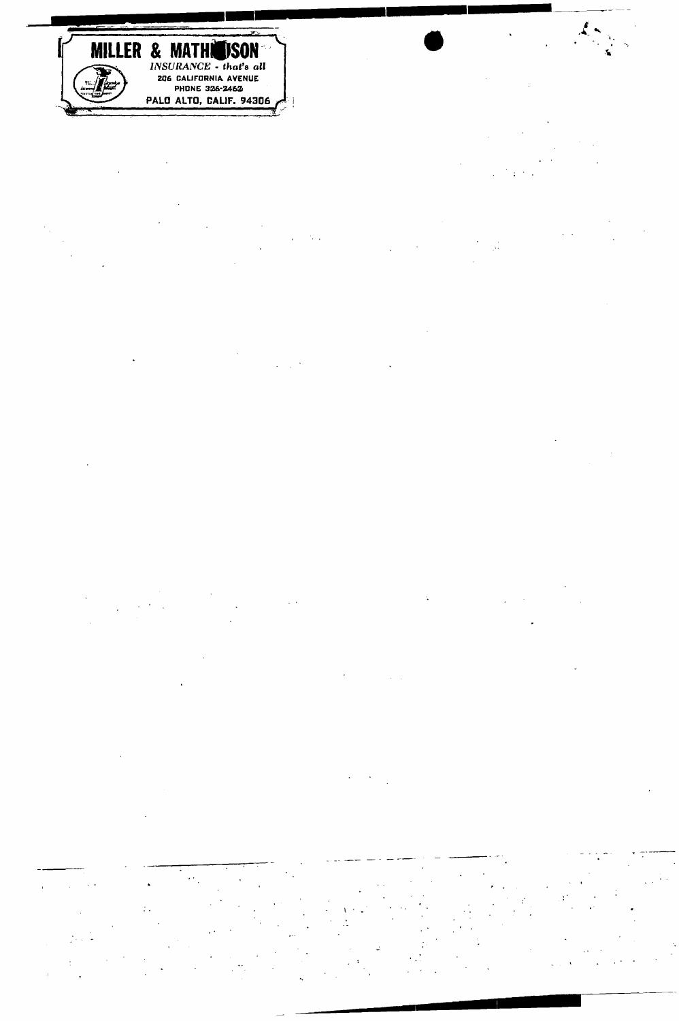

 $\bar{\epsilon}$ 

 $\frac{1}{2}$ 

j.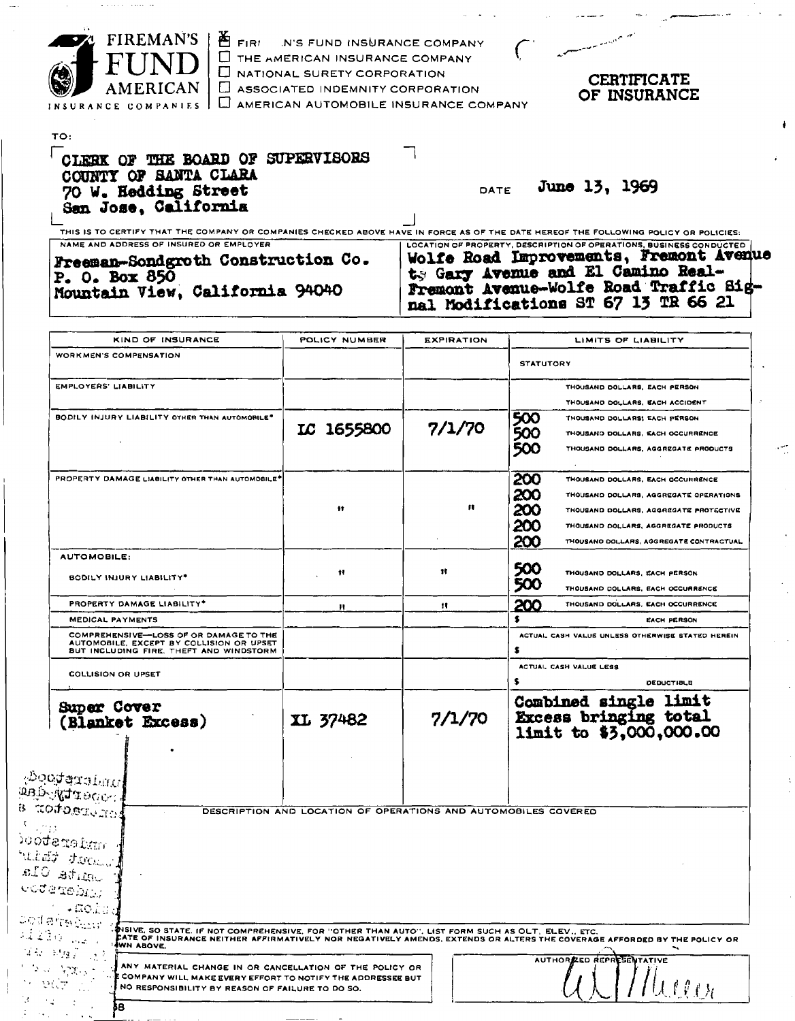

سائدستان بالمناخ

 $\mathbb{Z}_{\text{FIR}}$ IN'S FUND INSURANCE COMPANY  $\Box$  THE AMERICAN INSURANCE COMPANY **C** NATIONAL SURETY CORPORATION ASSOCIATED INDEMNITY CORPORATION

**C** AMERICAN AUTOMOBILE INSURANCE COMPANY

**CERTIFICATE** OF INSURANCE

TO:

 $\Omega$  $\tilde{\chi}$ ĎО  $\gamma f$ 

Įв

CLERK OF THE BOARD OF SUPERVISORS COUNTY OF SANTA CLARA 70 W. Hedding Street San Jose, California

June 13, 1969 DATE

-<br>THIS IS TO CERTIFY THAT THE COMPANY OR COMPANIES CHECKED ABOVE HAVE IN FORCE AS OF THE DATE HEREOF THE FOLLOWING POLICY OR POLICIES:

Freeman-Sondgroth Construction Co. P. O. Box 850 Mountain View, California 94040

NAME AND ADDRESS OF INSURED OR EMPLOYER

LOCATION OF PROPERTY, DESCRIPTION OF OPERATIONS, BUSINESS CONDUCTED Wolfe Road Improvements, Fremont Avenue ty Gary Avenue and El Camino Real-Fremont Avenue-Wolfe Road Traffic Signal Modifications ST 67 13 TR 66 21

| KIND OF INSURANCE                                                                                                                   | POLICY NUMBER                                                  | <b>EXPIRATION</b> | LIMITS OF LIABILITY                                                                                                                                                                                                                         |
|-------------------------------------------------------------------------------------------------------------------------------------|----------------------------------------------------------------|-------------------|---------------------------------------------------------------------------------------------------------------------------------------------------------------------------------------------------------------------------------------------|
| WORKMEN'S COMPENSATION                                                                                                              |                                                                |                   | <b>STATUTORY</b>                                                                                                                                                                                                                            |
| <b>EMPLOYERS' LIABILITY</b>                                                                                                         |                                                                |                   | THOUSAND DOLLARS, EACH PERSON<br>THOUSAND DOLLARS, EACH ACCIDENT                                                                                                                                                                            |
| BODILY INJURY LIABILITY OTHER THAN AUTOMOBILE®                                                                                      | LC 1655800                                                     | 7/1/70            | 500<br>THOUSAND DOLLARS: EACH PERSON<br>500<br>THOUSAND DOLLARS, EACH OCCURRENCE<br>500<br>THOUSAND DOLLARS, AGGREGATE PRODUCTS                                                                                                             |
| PROPERTY DAMAGE LIABILITY OTHER THAN AUTOMOBILE"                                                                                    | Ħ                                                              | m                 | 200<br>THOUSAND DOLLARS, EACH OCCURRENCE<br>200<br>THOUSAND DOLLARS, AGGREGATE OPERATIONS<br>200<br>THOUSAND DOLLARS, AGGREGATE PROTECTIVE<br>200<br>THOUSAND DOLLARS, AGGREGATE PRODUCTS<br>200<br>THOUSAND DOLLARS, AGGREGATE CONTRACTUAL |
| <b>AUTOMOBILE:</b><br>BODILY INJURY LIABILITY*                                                                                      | Ħ                                                              | Ħ                 | 500<br>THOUSAND DOLLARS, EACH PERSON<br>500<br>THOUSAND DOLLARS, EACH OCCURRENCE                                                                                                                                                            |
| PROPERTY DAMAGE LIABILITY*                                                                                                          | 11                                                             | Ħ                 | 200<br>THOUSAND DOLLARS, EACH OCCURRENCE                                                                                                                                                                                                    |
| <b>MEDICAL PAYMENTS</b>                                                                                                             |                                                                |                   | EACH PERSON                                                                                                                                                                                                                                 |
| COMPREHENSIVE-LOSS OF OR DAMAGE TO THE<br>AUTOMOBILE, EXCEPT BY COLLISION OR UPSET<br>BUT INCLUDING FIRE. THEFT AND WINDSTORM       |                                                                |                   | ACTUAL CASH VALUE UNLESS OTHERWISE STATED HEREIN<br>s<br>ACTUAL CASH VALUE LESS                                                                                                                                                             |
| <b>COLLISION OR UPSET</b><br>Super Cover<br>(Blanket Excess)                                                                        | XL 37482                                                       | 7/1/70            | <b>DEDUCTIBLE</b><br>Combined single limit<br>Excess bringing total<br>limit to \$3,000,000.00                                                                                                                                              |
| Doctaratum<br>авр <b>кі</b> твост<br>ಾರಿಗಳಿತ್ತಾ <sub>ಲು ಸಲ</sub><br>pootemaker<br>ulias dinast<br>al0 atime<br>ecterebia:<br>+Ωolta | DESCRIPTION AND LOCATION OF OPERATIONS AND AUTOMOBILES COVERED |                   |                                                                                                                                                                                                                                             |
| 00dana City<br>WEIVE, SO STATE. IF NOT COMPREHENSIVE, FOR "OTHER THAN AUTO", LIST FORM SUCH AS OLT, ELEV., ETC.<br>凝凝性              |                                                                |                   | FATE OF INSURANCE NEITHER AFFIRMATIVELY NOR NEGATIVELY AMENDS, EXTENDS OR ALTERS THE COVERAGE AFFORDED BY THE POLICY OR                                                                                                                     |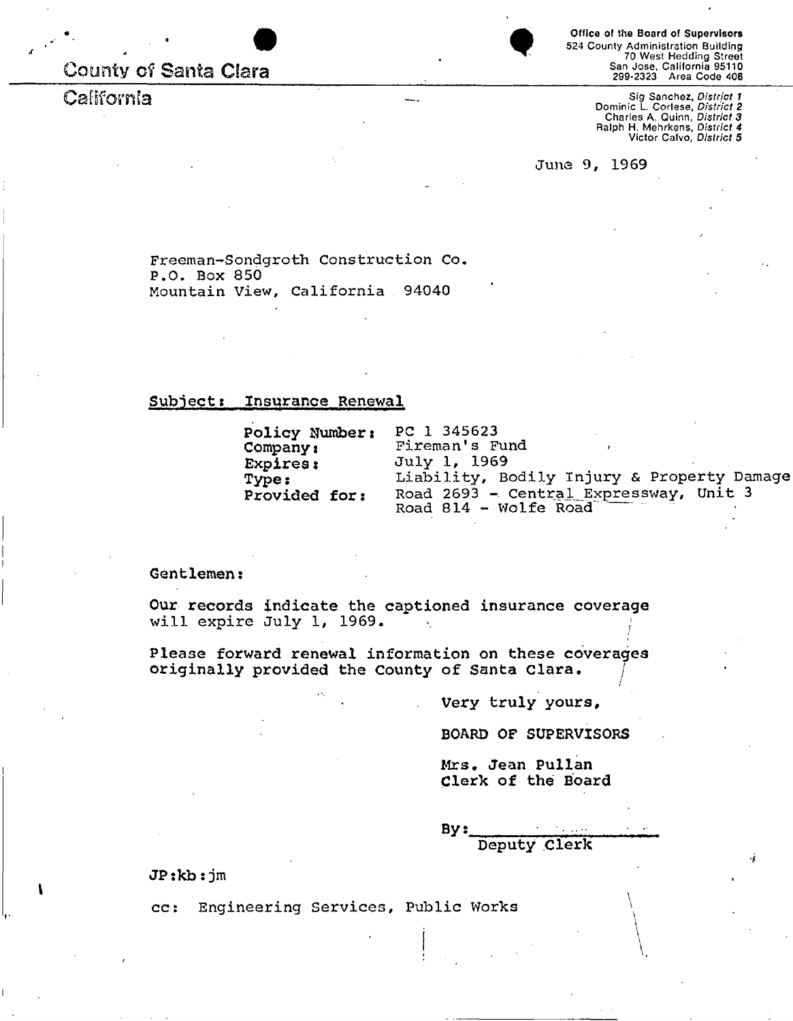# **County of Santa C!ara**

**California** 



**Office of the Board of Supervisors**  524 County Administration Building 70 West Hedding Street San Jose, California 95110 299-2323 Area Code 408

Sig Sanchez, *District 1*  Dominic L. Cortese, *District 2*  Charles A. Quinn, *District 3*  Ralph H, Mehrkens, *District 4*  Victor Calvo, *District 5* 

June 9, 1969

Freeman-Sondgroth Construction Co. P.O. Box 850 Mountain View, California 94040

#### **Subject: Insurance Renewal**

| Policy Number: PC 1 345623 |                                                                 |
|----------------------------|-----------------------------------------------------------------|
| Company:                   | Fireman's Fund                                                  |
| Expires:                   | July 1, 1969                                                    |
| Type:                      | Liability, Bodily Injury & Property Damage                      |
| Provided for:              | Road 2693 - Central Expressway, Unit 3<br>Road 814 - Wolfe Road |

#### **Gentlemen:**

**Our records indicate the captioned insurance coverage**  will expire July 1, 1969.

**Please forward renewal information on these coverages**  originally provided the County of Santa Clara.

**Very truly yours,** 

**BOARD OF SUPERVISORS** 

/

\

**Mrs. Jean Pullan Clerk of the Board** 

**By: Deputy Clerk** 

**JP:kb:jm** 

cc: Engineering Services, Public Works \

*•i*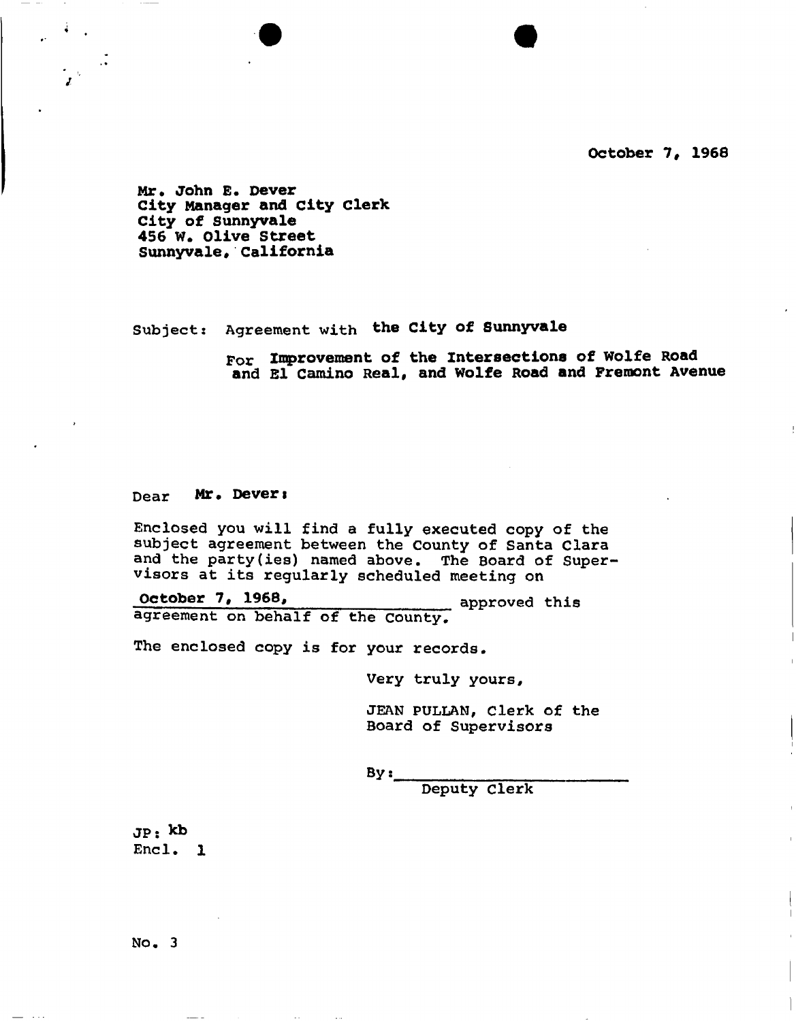**October 7, 1968** 

Mr. John E. Dever **City Manager and City Clerk City of Sunnyvale 456 W. Olive Street Sunnyvale, California** 

**Subject: Agreement with the City of Sunnyvale** 

**For Improvement of the Intersections of Wolfe Road and El Camino Real, and Wolfe Road and Fremont Avenue** 

#### **Dear Mr. Devers**

**Enclosed you will find a fully executed copy of the subject agreement between the County of Santa Clara and the party(ies) named above. The Board of Supervisors at its regularly scheduled meeting on** 

**October 7, 1968, approved this agreement on behalf of the County.** 

**The enclosed copy is for your records.** 

**Very truly yours,** 

**JEAN PULLAN, Clerk of the Board of Supervisors** 

**By:** 

**Deputy Clerk** 

**JP: \*b Encl. 1** 

**No. 3**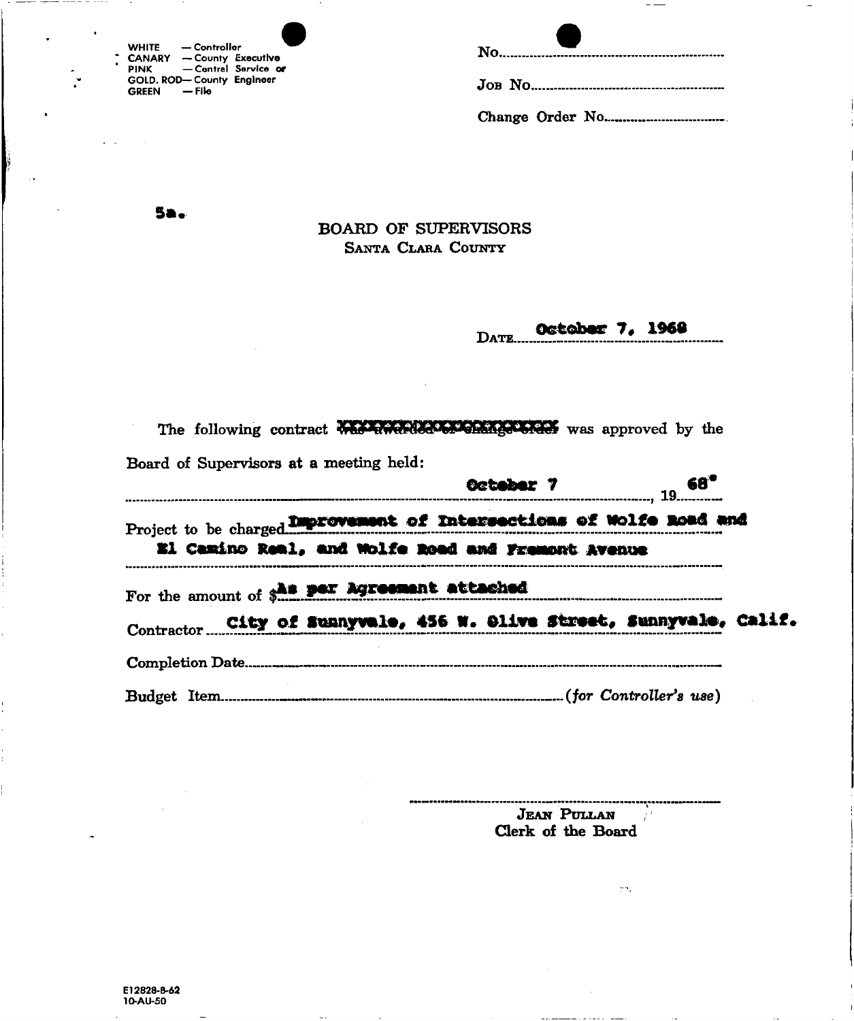| <b>WHITE</b>  | — Controller              |                      |
|---------------|---------------------------|----------------------|
| <b>CANARY</b> | - County Executive        |                      |
| <b>PINK</b>   |                           | - Central Service or |
|               | GOLD, ROD-County Engineer |                      |
| <b>GREEN</b>  | — File                    |                      |

**5a.** 

### BOARD OF SUPERVISORS SANTA CLARA COUNTY

October 7, 1968 DATE...

| The following contract was approved by the                           |                                |           |                     |                                                                      |
|----------------------------------------------------------------------|--------------------------------|-----------|---------------------|----------------------------------------------------------------------|
| Board of Supervisors at a meeting held:                              |                                |           |                     |                                                                      |
|                                                                      | ______________________________ | October 7 | $7$ 68 <sup>°</sup> |                                                                      |
| Project to be charged improvement of Intersections of Wolfe Road and |                                |           |                     |                                                                      |
| El Camino Real, and Wolfe Road and Fremont Avenue                    |                                |           |                     |                                                                      |
| For the amount of sas per Agreement attached                         |                                |           |                     |                                                                      |
|                                                                      |                                |           |                     | Contractor City of Sunnyvale, 456 W. Olive Street, Sunnyvale, Calif. |
|                                                                      |                                |           |                     |                                                                      |
|                                                                      |                                |           |                     |                                                                      |

**JEAN PULLAN**  $\hat{f}^+$ Clerk of the Board

 $\gamma\gamma_0$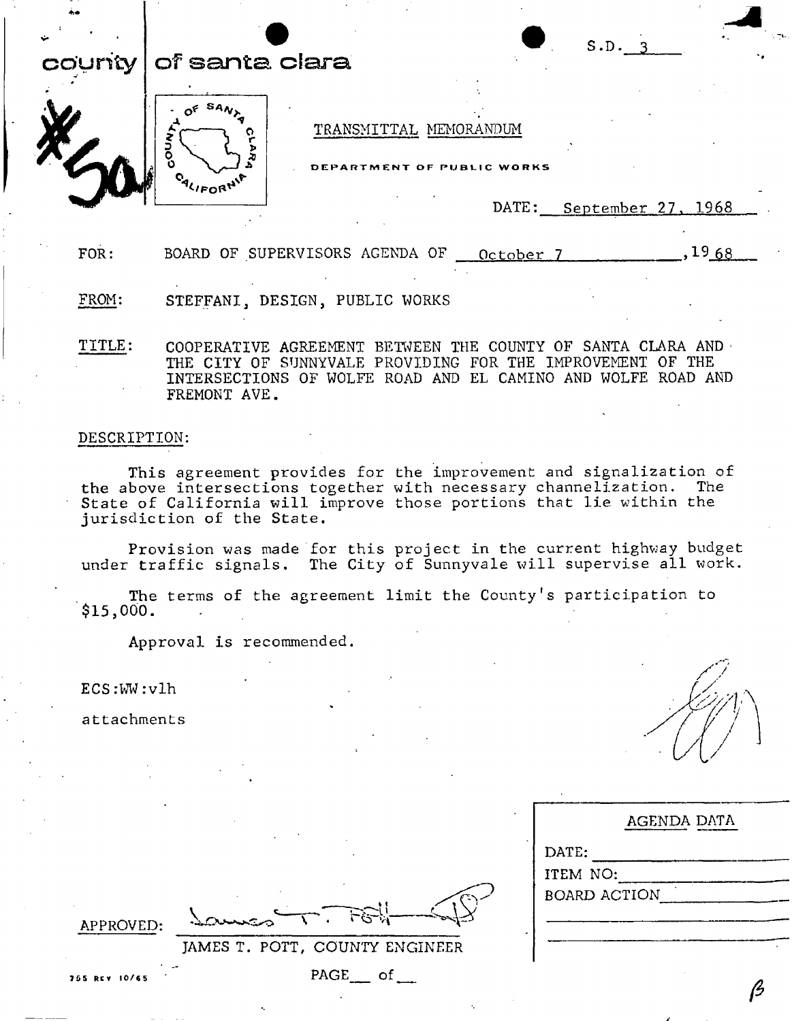$\operatorname{\mathsf{priv}}\nolimits$  of santa clara



#### TRANSMITTAL MEMORANDUM

ARTMENT OF PUBLIC WORKS

DATE: September 27, 1968

S.D. 3

FOR: BOARD OF SUPERVISORS AGENDA OF October 7 , 1968

FROM: STEFFANI, DESIGN, PUBLIC WORKS

TITLE: COOPERATIVE AGREEMENT BETWEEN THE COUNTY OF SANTA CLARA AND -THE CITY OF SUNNYVALE PROVIDING FOR THE IMPROVEMENT OF THE INTERSECTIONS OF WOLFE ROAD AND EL CAMINO AND WOLFE ROAD AND FREMONT AVE.

#### DESCRIPTION:

This agreement provides for the improvement and signalization of<br>hove intersections together with necessary channelization. The the above intersections together with necessary channelization. State of California will improve those portions that lie within the jurisdiction of the State.

Provision was made for this project in the current highway budget under traffic signals. The City of Sunnyvale will supervise all work.

 $\bigcirc$ 

The terms of the agreement limit the County's participation to  $$15,000.$ 

Approval is recommended.

#### $ECS:WW:vlh$

attachments

| ITEM NO:            |
|---------------------|
| <b>BOARD ACTION</b> |

APPROVED:

JAMES T. POTT, COUNTY ENGINEER

PAGE of

J S 5 Rt \* 10/6 5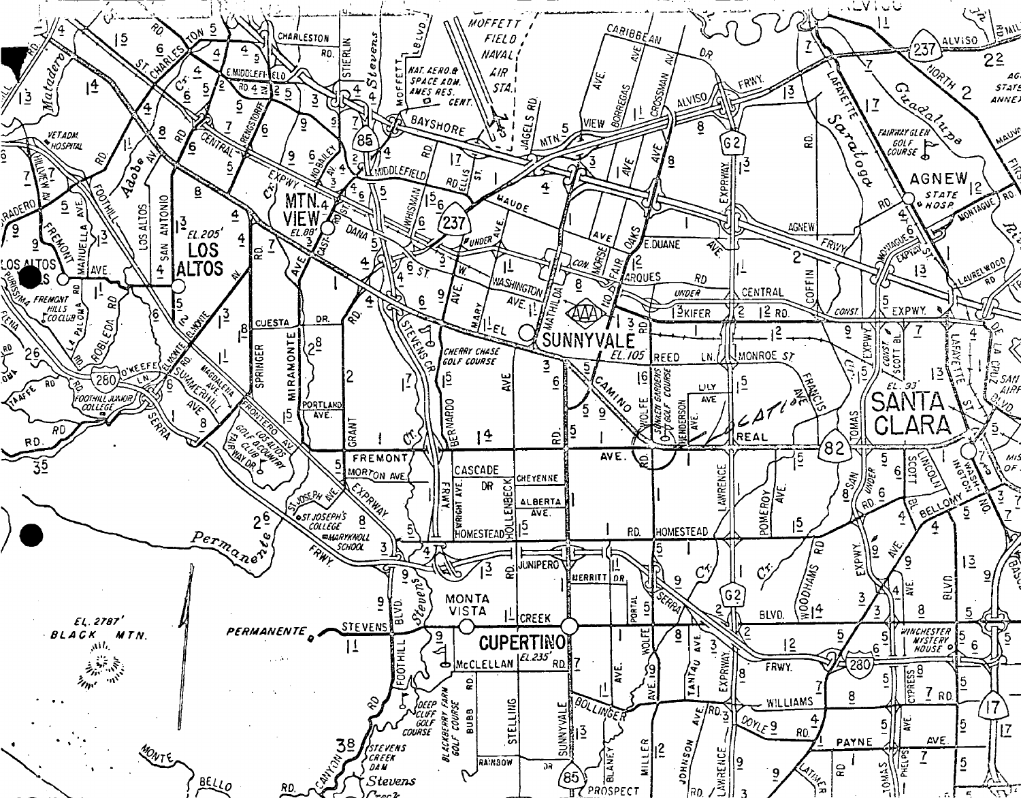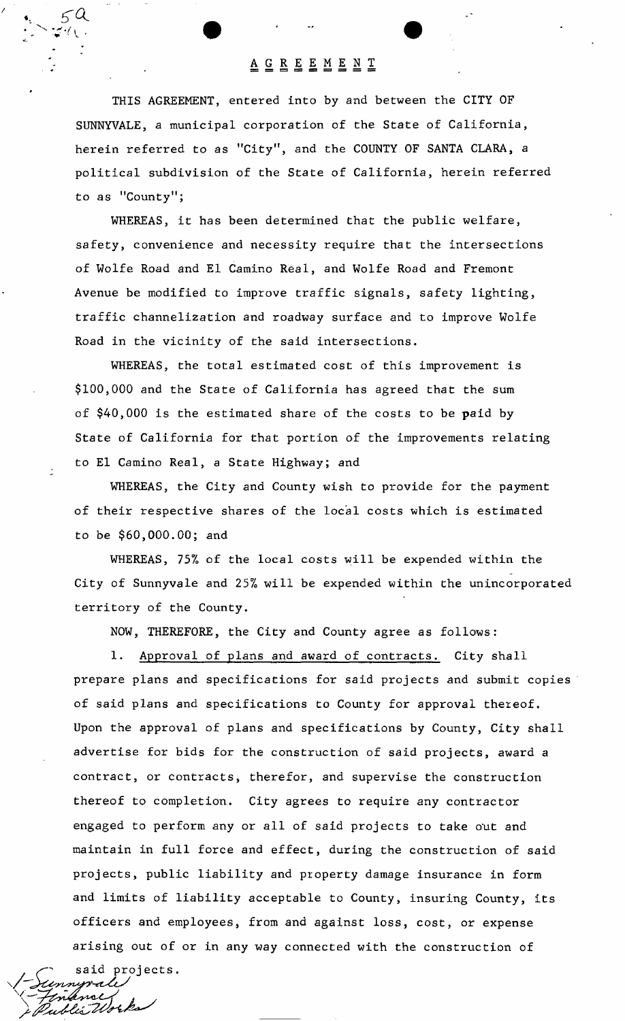## **AGREEMENT**

/

THIS AGREEMENT, entered into by and between the CITY OF SUNNYVALE, a municipal corporation of the State of California, herein referred to as "City", and the COUNTY OF SANTA CLARA, a political subdivision of the State of California, herein referred to as "County";

WHEREAS, it has been determined that the public welfare, safety, convenience and necessity require that the intersections of Wolfe Road and El Camino Real, and Wolfe Road and Fremont Avenue be modified to improve traffic signals, safety lighting, traffic channelization and roadway surface and to improve Wolfe Road in the vicinity of the said intersections.

WHEREAS, the total estimated cost of this improvement is \$100,000 and the State of California has agreed that the sum of \$40,000 is the estimated share of the costs to be paid by State of California for that portion of the improvements relating to El Camino Real, a State Highway; and

WHEREAS, the City and County wish to provide for the payment of their respective shares of the local costs which is estimated to be \$60,000.00; and

WHEREAS, 75% of the local costs will be expended within the City of Sunnyvale and 25% will be expended within the unincorporated territory of the County.

NOW, THEREFORE, the City and County agree as follows:

1. Approval of plans and award of contracts. City shall prepare plans and specifications for said projects and submit copies of said plans and specifications to County for approval thereof. Upon the approval of plans and specifications by County, City shall advertise for bids for the construction of said projects, award a contract, or contracts, therefor, and supervise the construction thereof to completion. City agrees to require any contractor engaged to perform any or all of said projects to take out and maintain in full force and effect, during the construction of said projects, public liability and property damage insurance in form and limits of liability acceptable to County, insuring County, its officers and employees, from and against loss, cost, or expense arising out of or in any way connected with the construction of said projects.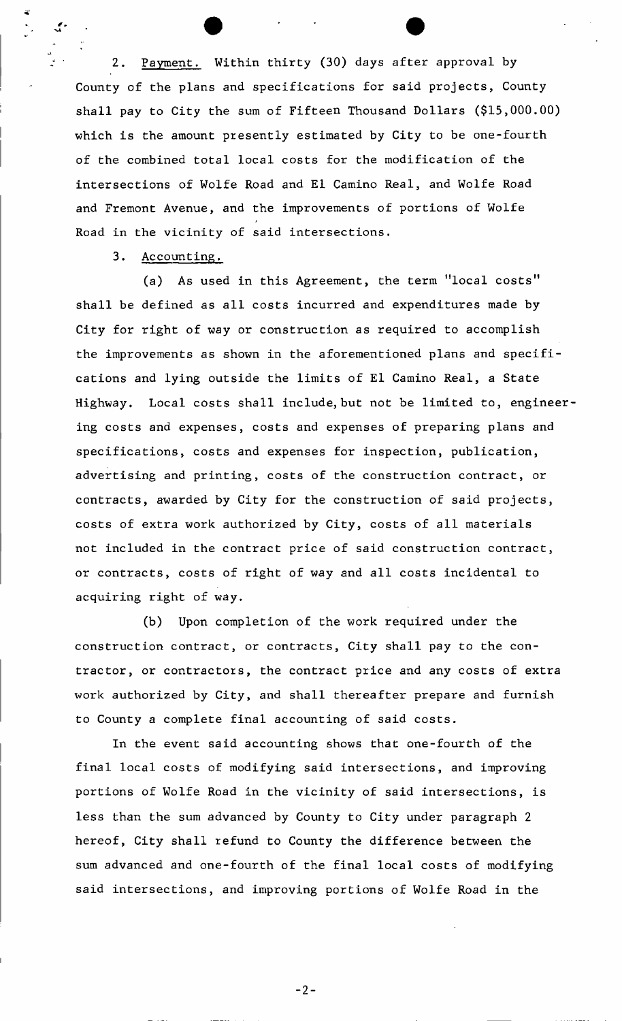Payment. Within thirty (30) days after approval by  $2.$ County of the plans and specifications for said projects, County shall pay to City the sum of Fifteen Thousand Dollars (\$15,000.00) which is the amount presently estimated by City to be one-fourth of the combined total local costs for the modification of the intersections of Wolfe Road and El Camino Real, and Wolfe Road and Fremont Avenue, and the improvements of portions of Wolfe *>*  Road in the vicinity of said intersections.

3. Accounting.

 $\mathbf{L}$ 

(a) As used in this Agreement, the term "local costs" shall be defined as all costs incurred and expenditures made by City for right of way or construction as required to accomplish the improvements as shown in the aforementioned plans and specifications and lying outside the limits of El Camino Real, a State Highway. Local costs shall include, but not be limited to, engineering costs and expenses, costs and expenses of preparing plans and specifications, costs and expenses for inspection, publication, advertising and printing, costs of the construction contract, or contracts, awarded by City for the construction of said projects, costs of extra work authorized by City, costs of all materials not included in the contract price of said construction contract, or contracts, costs of right of way and all costs incidental to acquiring right of way.

(b) Upon completion of the work required under the construction contract, or contracts, City shall pay to the contractor, or contractors, the contract price and any costs of extra work authorized by City, and shall thereafter prepare and furnish to County a complete final accounting of said costs.

In the event said accounting shows that one-fourth of the final local costs of modifying said intersections, and improving portions of Wolfe Road in the vicinity of said intersections, is less than the sum advanced by County to City under paragraph 2 hereof, City shall refund to County the difference between the sum advanced and one-fourth of the final local costs of modifying said intersections, and improving portions of Wolfe Road in the

 $-2-$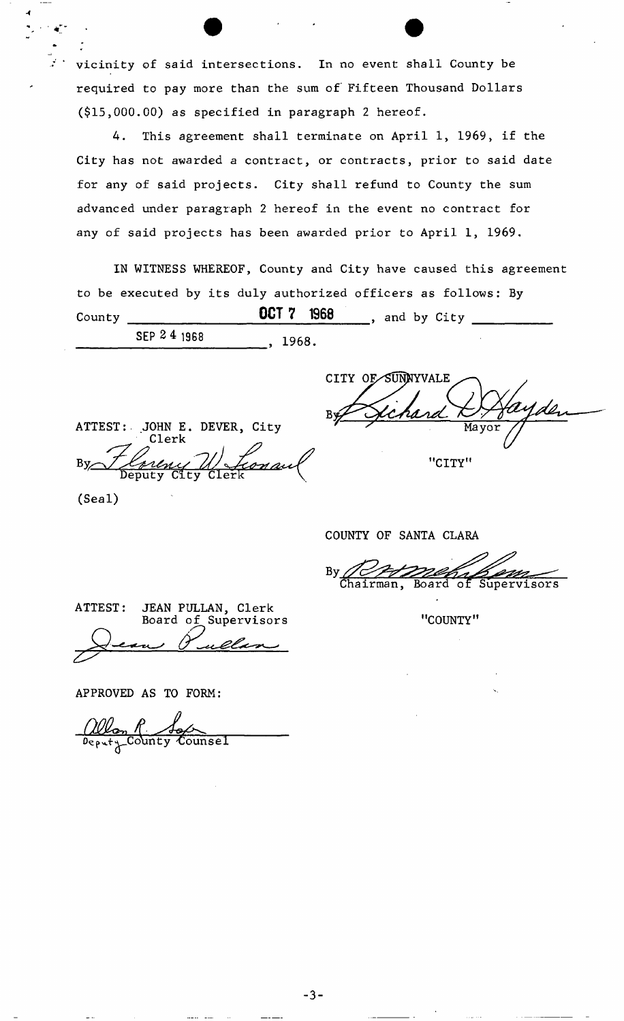vicinity of said intersections. In no event shall County be required to pay more than the sum of Fifteen Thousand Dollars (\$15,000.00) as specified in paragraph 2 hereof.

4. This agreement shall terminate on April 1, 1969, if the City has not awarded a contract, or contracts, prior to said date for any of said projects. City shall refund to County the sum advanced under paragraph 2 hereof in the event no contract for any of said projects has been awarded prior to April 1, 1969.

IN WITNESS WHEREOF, County and City have caused this agreement to be executed by its duly authorized officers as follows: By County **OCT 7 1968**, and by City

SEP 24 1968<br>
1968.

ATTEST: JOHN E. DEVER, City tecnau By

*-i* 

CITY OF SUNNYVALE "CITY"

COUNTY OF SANTA CLARA

∩f

ATTEST: JEAN PULLAN, Clerk Board of Supervisors "COUNTY"

APPROVED AS TO FORM:

(Seal)

allon P